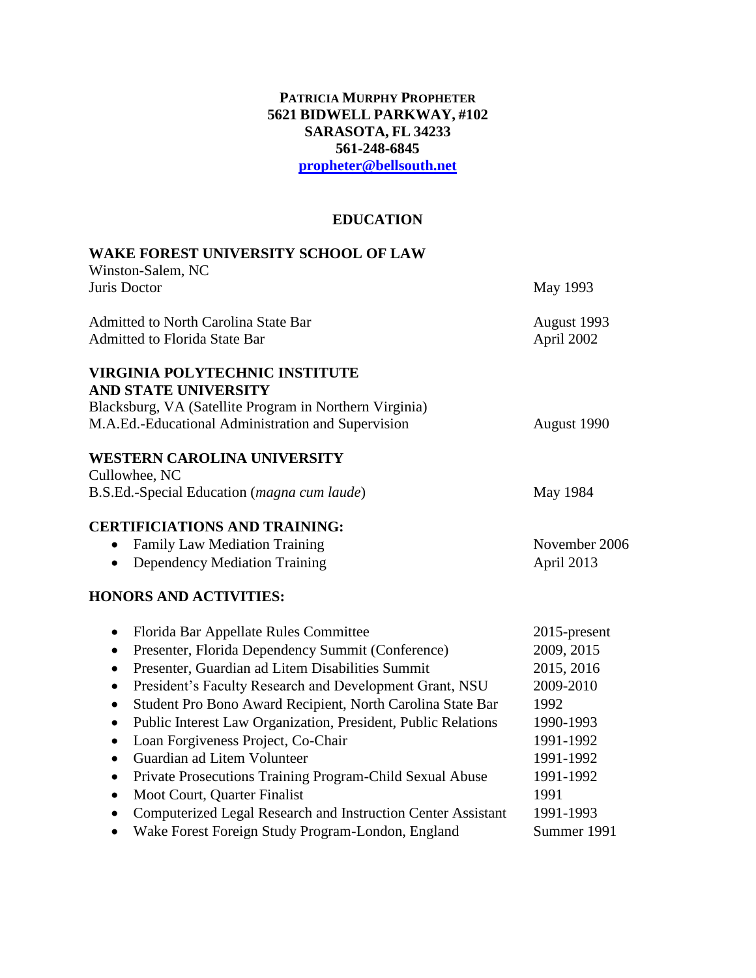#### **PATRICIA MURPHY PROPHETER 5621 BIDWELL PARKWAY, #102 SARASOTA, FL 34233 561-248-6845 [propheter@bellsouth.net](mailto:propheter@bellsouth.net)**

# **EDUCATION**

| <b>WAKE FOREST UNIVERSITY SCHOOL OF LAW</b><br>Winston-Salem, NC                                                                                                                                                                                                                                                                         |                                                               |
|------------------------------------------------------------------------------------------------------------------------------------------------------------------------------------------------------------------------------------------------------------------------------------------------------------------------------------------|---------------------------------------------------------------|
| Juris Doctor                                                                                                                                                                                                                                                                                                                             | May 1993                                                      |
| <b>Admitted to North Carolina State Bar</b><br><b>Admitted to Florida State Bar</b>                                                                                                                                                                                                                                                      | August 1993<br>April 2002                                     |
| <b>VIRGINIA POLYTECHNIC INSTITUTE</b><br><b>AND STATE UNIVERSITY</b>                                                                                                                                                                                                                                                                     |                                                               |
| Blacksburg, VA (Satellite Program in Northern Virginia)<br>M.A.Ed.-Educational Administration and Supervision                                                                                                                                                                                                                            | August 1990                                                   |
| <b>WESTERN CAROLINA UNIVERSITY</b><br>Cullowhee, NC                                                                                                                                                                                                                                                                                      |                                                               |
| B.S.Ed.-Special Education (magna cum laude)                                                                                                                                                                                                                                                                                              | May 1984                                                      |
| <b>CERTIFICIATIONS AND TRAINING:</b><br><b>Family Law Mediation Training</b><br>$\bullet$<br><b>Dependency Mediation Training</b>                                                                                                                                                                                                        | November 2006<br>April 2013                                   |
| <b>HONORS AND ACTIVITIES:</b>                                                                                                                                                                                                                                                                                                            |                                                               |
| Florida Bar Appellate Rules Committee<br>$\bullet$<br>Presenter, Florida Dependency Summit (Conference)<br>$\bullet$<br>Presenter, Guardian ad Litem Disabilities Summit<br>$\bullet$<br>President's Faculty Research and Development Grant, NSU<br>$\bullet$<br>Student Pro Bono Award Recipient, North Carolina State Bar<br>$\bullet$ | 2015-present<br>2009, 2015<br>2015, 2016<br>2009-2010<br>1992 |
| Public Interest Law Organization, President, Public Relations<br>$\bullet$<br>Loan Forgiveness Project, Co-Chair<br>$\bullet$<br>Guardian ad Litem Volunteer<br>$\bullet$                                                                                                                                                                | 1990-1993<br>1991-1992<br>1991-1992                           |
| Private Prosecutions Training Program-Child Sexual Abuse<br>$\bullet$<br>Moot Court, Quarter Finalist<br>$\bullet$<br>Computerized Legal Research and Instruction Center Assistant<br>$\bullet$<br>Wake Forest Foreign Study Program-London, England<br>$\bullet$                                                                        | 1991-1992<br>1991<br>1991-1993<br>Summer 1991                 |
|                                                                                                                                                                                                                                                                                                                                          |                                                               |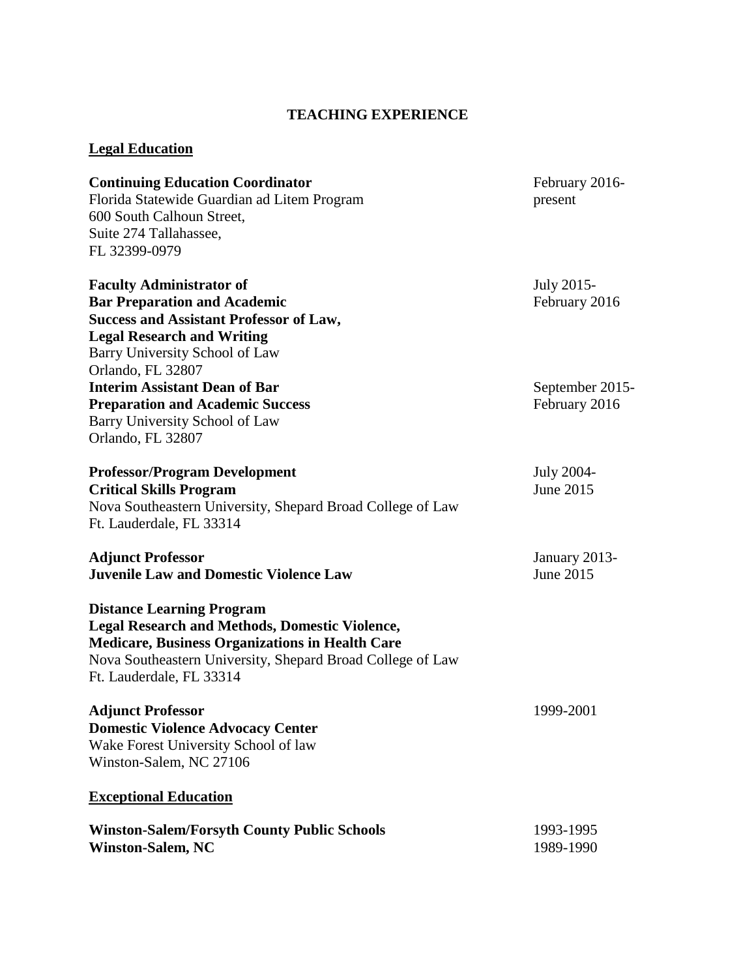# **TEACHING EXPERIENCE**

### **Legal Education**

| <b>Continuing Education Coordinator</b>                                                                                                                                                                                                       | February 2016-  |
|-----------------------------------------------------------------------------------------------------------------------------------------------------------------------------------------------------------------------------------------------|-----------------|
| Florida Statewide Guardian ad Litem Program                                                                                                                                                                                                   | present         |
| 600 South Calhoun Street,                                                                                                                                                                                                                     |                 |
| Suite 274 Tallahassee,                                                                                                                                                                                                                        |                 |
| FL 32399-0979                                                                                                                                                                                                                                 |                 |
| <b>Faculty Administrator of</b>                                                                                                                                                                                                               | July 2015-      |
| <b>Bar Preparation and Academic</b>                                                                                                                                                                                                           | February 2016   |
| <b>Success and Assistant Professor of Law,</b>                                                                                                                                                                                                |                 |
| <b>Legal Research and Writing</b>                                                                                                                                                                                                             |                 |
| Barry University School of Law                                                                                                                                                                                                                |                 |
| Orlando, FL 32807                                                                                                                                                                                                                             |                 |
| <b>Interim Assistant Dean of Bar</b>                                                                                                                                                                                                          | September 2015- |
| <b>Preparation and Academic Success</b>                                                                                                                                                                                                       | February 2016   |
| Barry University School of Law                                                                                                                                                                                                                |                 |
| Orlando, FL 32807                                                                                                                                                                                                                             |                 |
| <b>Professor/Program Development</b>                                                                                                                                                                                                          | July 2004-      |
| <b>Critical Skills Program</b>                                                                                                                                                                                                                | June 2015       |
| Nova Southeastern University, Shepard Broad College of Law                                                                                                                                                                                    |                 |
| Ft. Lauderdale, FL 33314                                                                                                                                                                                                                      |                 |
| <b>Adjunct Professor</b>                                                                                                                                                                                                                      | January 2013-   |
| <b>Juvenile Law and Domestic Violence Law</b>                                                                                                                                                                                                 | June 2015       |
| <b>Distance Learning Program</b><br><b>Legal Research and Methods, Domestic Violence,</b><br><b>Medicare, Business Organizations in Health Care</b><br>Nova Southeastern University, Shepard Broad College of Law<br>Ft. Lauderdale, FL 33314 |                 |
| <b>Adjunct Professor</b>                                                                                                                                                                                                                      | 1999-2001       |
| <b>Domestic Violence Advocacy Center</b>                                                                                                                                                                                                      |                 |
| Wake Forest University School of law                                                                                                                                                                                                          |                 |
| Winston-Salem, NC 27106                                                                                                                                                                                                                       |                 |
| <b>Exceptional Education</b>                                                                                                                                                                                                                  |                 |
| <b>Winston-Salem/Forsyth County Public Schools</b>                                                                                                                                                                                            | 1993-1995       |
| <b>Winston-Salem, NC</b>                                                                                                                                                                                                                      | 1989-1990       |
|                                                                                                                                                                                                                                               |                 |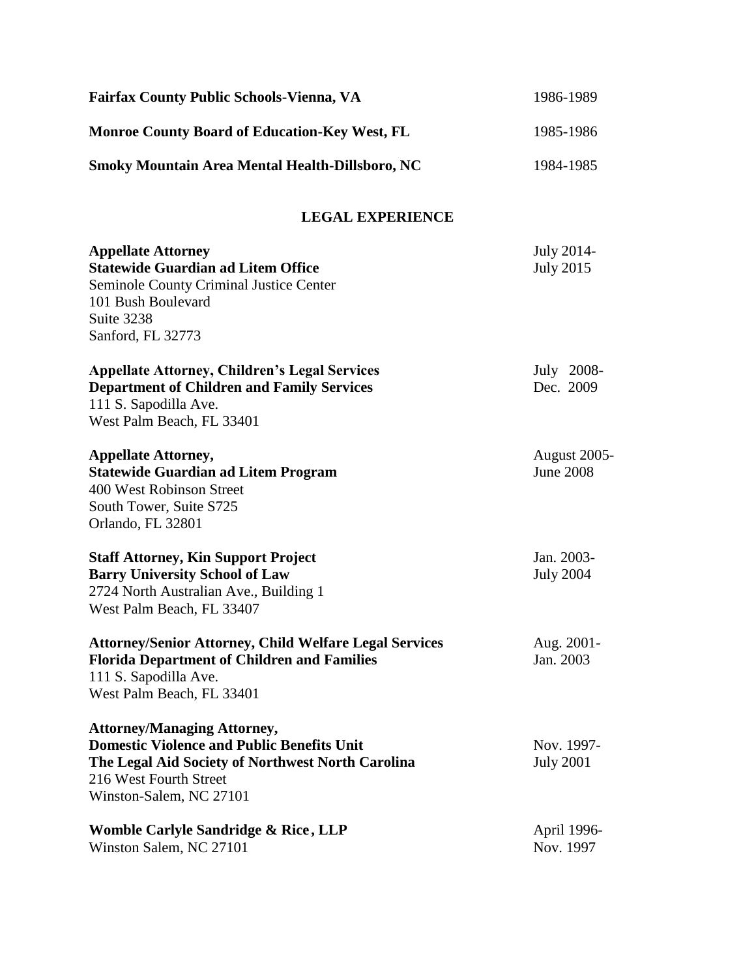| <b>Fairfax County Public Schools-Vienna, VA</b>                                                                                                                                                   | 1986-1989                               |
|---------------------------------------------------------------------------------------------------------------------------------------------------------------------------------------------------|-----------------------------------------|
| <b>Monroe County Board of Education-Key West, FL</b><br><b>Smoky Mountain Area Mental Health-Dillsboro, NC</b>                                                                                    | 1985-1986                               |
|                                                                                                                                                                                                   | 1984-1985                               |
| <b>LEGAL EXPERIENCE</b>                                                                                                                                                                           |                                         |
| <b>Appellate Attorney</b><br><b>Statewide Guardian ad Litem Office</b><br><b>Seminole County Criminal Justice Center</b><br>101 Bush Boulevard<br>Suite 3238<br>Sanford, FL 32773                 | July 2014-<br><b>July 2015</b>          |
| <b>Appellate Attorney, Children's Legal Services</b><br><b>Department of Children and Family Services</b><br>111 S. Sapodilla Ave.<br>West Palm Beach, FL 33401                                   | July 2008-<br>Dec. 2009                 |
| <b>Appellate Attorney,</b><br><b>Statewide Guardian ad Litem Program</b><br>400 West Robinson Street<br>South Tower, Suite S725<br>Orlando, FL 32801                                              | <b>August 2005-</b><br><b>June 2008</b> |
| <b>Staff Attorney, Kin Support Project</b><br><b>Barry University School of Law</b><br>2724 North Australian Ave., Building 1<br>West Palm Beach, FL 33407                                        | Jan. 2003-<br><b>July 2004</b>          |
| <b>Attorney/Senior Attorney, Child Welfare Legal Services</b><br><b>Florida Department of Children and Families</b><br>111 S. Sapodilla Ave.<br>West Palm Beach, FL 33401                         | Aug. 2001-<br>Jan. 2003                 |
| <b>Attorney/Managing Attorney,</b><br><b>Domestic Violence and Public Benefits Unit</b><br>The Legal Aid Society of Northwest North Carolina<br>216 West Fourth Street<br>Winston-Salem, NC 27101 | Nov. 1997-<br><b>July 2001</b>          |
| Womble Carlyle Sandridge & Rice, LLP<br>Winston Salem, NC 27101                                                                                                                                   | April 1996-<br>Nov. 1997                |